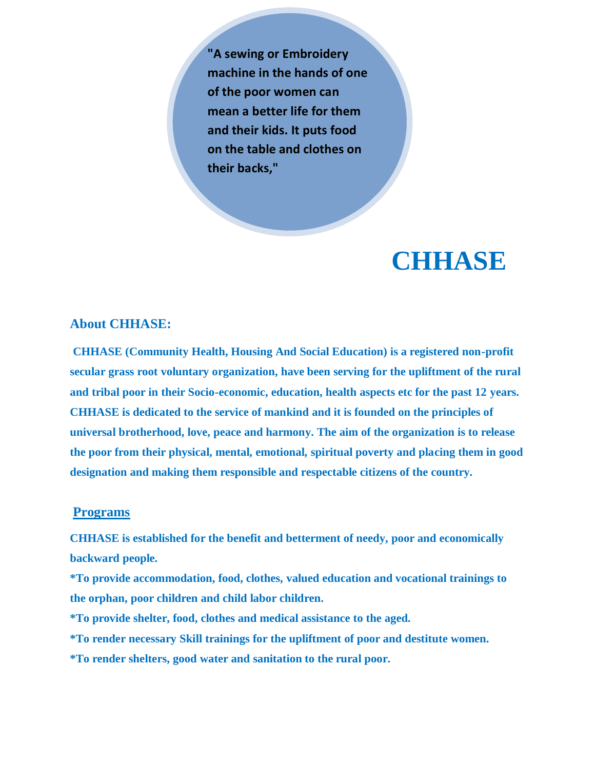**"A sewing or Embroidery machine in the hands of one of the poor women can mean a better life for them and their kids. It puts food on the table and clothes on their backs,"**

# **CHHASE**

#### **About CHHASE:**

**CHHASE (Community Health, Housing And Social Education) is a registered non-profit secular grass root voluntary organization, have been serving for the upliftment of the rural and tribal poor in their Socio-economic, education, health aspects etc for the past 12 years. CHHASE is dedicated to the service of mankind and it is founded on the principles of universal brotherhood, love, peace and harmony. The aim of the organization is to release the poor from their physical, mental, emotional, spiritual poverty and placing them in good designation and making them responsible and respectable citizens of the country.**

#### **Programs**

**CHHASE is established for the benefit and betterment of needy, poor and economically backward people.** 

**\*To provide accommodation, food, clothes, valued education and vocational trainings to the orphan, poor children and child labor children.** 

**\*To provide shelter, food, clothes and medical assistance to the aged.** 

**\*To render necessary Skill trainings for the upliftment of poor and destitute women.** 

**\*To render shelters, good water and sanitation to the rural poor.**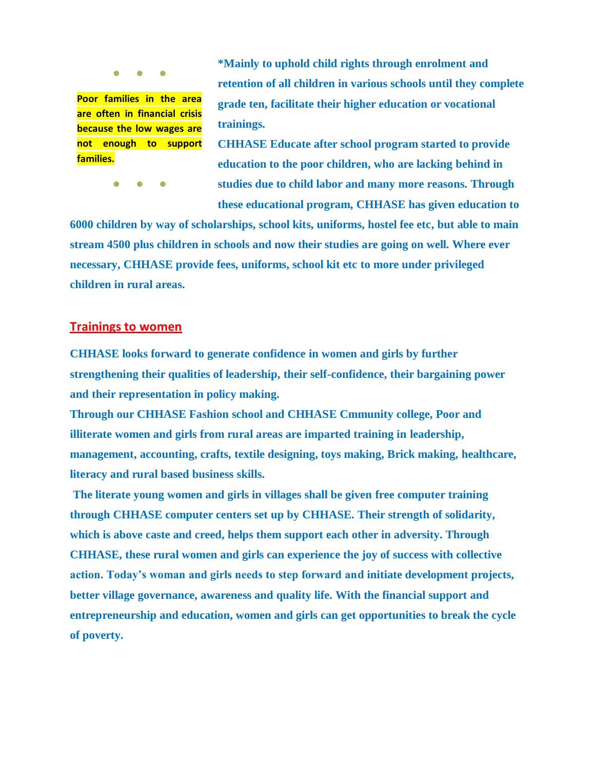● ● ●

**Poor families in the area are often in financial crisis because the low wages are not enough to support families.**

● ● ●

**\*Mainly to uphold child rights through enrolment and retention of all children in various schools until they complete grade ten, facilitate their higher education or vocational trainings.** 

**CHHASE Educate after school program started to provide education to the poor children, who are lacking behind in studies due to child labor and many more reasons. Through these educational program, CHHASE has given education to** 

**6000 children by way of scholarships, school kits, uniforms, hostel fee etc, but able to main stream 4500 plus children in schools and now their studies are going on well. Where ever necessary, CHHASE provide fees, uniforms, school kit etc to more under privileged children in rural areas.**

#### **Trainings to women**

**CHHASE looks forward to generate confidence in women and girls by further strengthening their qualities of leadership, their self-confidence, their bargaining power and their representation in policy making.** 

**Through our CHHASE Fashion school and CHHASE Cmmunity college, Poor and illiterate women and girls from rural areas are imparted training in leadership, management, accounting, crafts, textile designing, toys making, Brick making, healthcare, literacy and rural based business skills.**

**The literate young women and girls in villages shall be given free computer training through CHHASE computer centers set up by CHHASE. Their strength of solidarity, which is above caste and creed, helps them support each other in adversity. Through CHHASE, these rural women and girls can experience the joy of success with collective action. Today's woman and girls needs to step forward and initiate development projects, better village governance, awareness and quality life. With the financial support and entrepreneurship and education, women and girls can get opportunities to break the cycle of poverty.**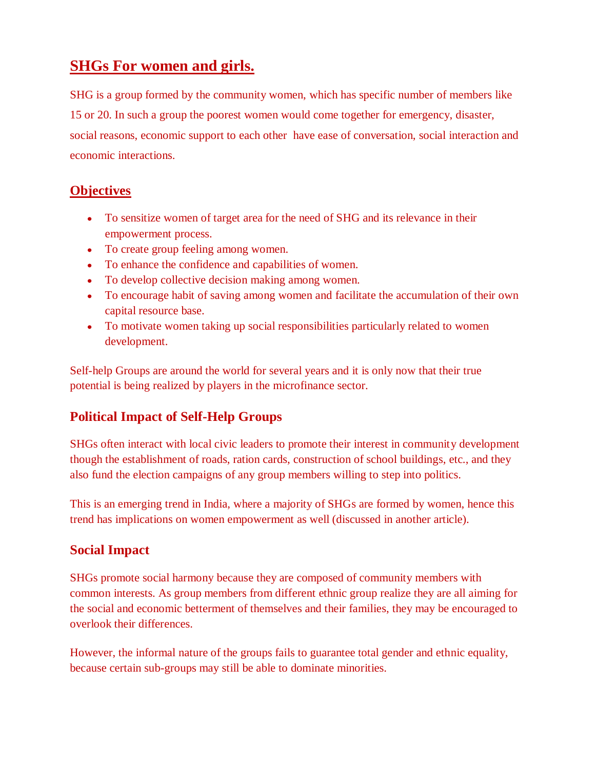# **SHGs For women and girls.**

SHG is a group formed by the community women, which has specific number of members like 15 or 20. In such a group the poorest women would come together for emergency, disaster, social reasons, economic support to each other have ease of conversation, social interaction and economic interactions.

# **Objectives**

- To sensitize women of target area for the need of SHG and its relevance in their empowerment process.
- To create group feeling among women.
- To enhance the confidence and capabilities of women.
- To develop collective decision making among women.
- To encourage habit of saving among women and facilitate the accumulation of their own capital resource base.
- To motivate women taking up social responsibilities particularly related to women development.

Self-help Groups are around the world for several years and it is only now that their true potential is being realized by players in the microfinance sector.

# **Political Impact of Self-Help Groups**

SHGs often interact with local civic leaders to promote their interest in community development though the establishment of roads, ration cards, construction of school buildings, etc., and they also fund the election campaigns of any group members willing to step into politics.

This is an emerging trend in India, where a majority of SHGs are formed by women, hence this trend has implications on women empowerment as well (discussed in another article).

# **Social Impact**

SHGs promote social harmony because they are composed of community members with common interests. As group members from different ethnic group realize they are all aiming for the social and economic betterment of themselves and their families, they may be encouraged to overlook their differences.

However, the informal nature of the groups fails to guarantee total gender and ethnic equality, because certain sub-groups may still be able to dominate minorities.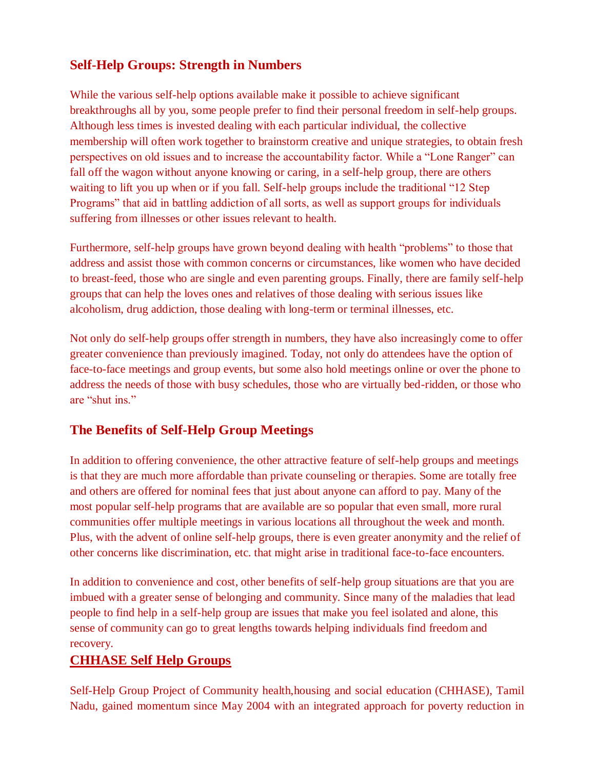# **Self-Help Groups: Strength in Numbers**

While the various self-help options available make it possible to achieve significant breakthroughs all by you, some people prefer to find their personal freedom in self-help groups. Although less times is invested dealing with each particular individual, the collective membership will often work together to brainstorm creative and unique strategies, to obtain fresh perspectives on old issues and to increase the accountability factor. While a "Lone Ranger" can fall off the wagon without anyone knowing or caring, in a self-help group, there are others waiting to lift you up when or if you fall. Self-help groups include the traditional "12 Step Programs" that aid in battling addiction of all sorts, as well as support groups for individuals suffering from illnesses or other issues relevant to health.

Furthermore, self-help groups have grown beyond dealing with health "problems" to those that address and assist those with common concerns or circumstances, like women who have decided to breast-feed, those who are single and even parenting groups. Finally, there are family self-help groups that can help the loves ones and relatives of those dealing with serious issues like alcoholism, drug addiction, those dealing with long-term or terminal illnesses, etc.

Not only do self-help groups offer strength in numbers, they have also increasingly come to offer greater convenience than previously imagined. Today, not only do attendees have the option of face-to-face meetings and group events, but some also hold meetings online or over the phone to address the needs of those with busy schedules, those who are virtually bed-ridden, or those who are "shut ins."

# **The Benefits of Self-Help Group Meetings**

In addition to offering convenience, the other attractive feature of self-help groups and meetings is that they are much more affordable than private counseling or therapies. Some are totally free and others are offered for nominal fees that just about anyone can afford to pay. Many of the most popular self-help programs that are available are so popular that even small, more rural communities offer multiple meetings in various locations all throughout the week and month. Plus, with the advent of online self-help groups, there is even greater anonymity and the relief of other concerns like discrimination, etc. that might arise in traditional face-to-face encounters.

In addition to convenience and cost, other benefits of self-help group situations are that you are imbued with a greater sense of belonging and community. Since many of the maladies that lead people to find help in a self-help group are issues that make you feel isolated and alone, this sense of community can go to great lengths towards helping individuals find freedom and recovery.

# **CHHASE Self Help Groups**

Self-Help Group Project of Community health,housing and social education (CHHASE), Tamil Nadu, gained momentum since May 2004 with an integrated approach for poverty reduction in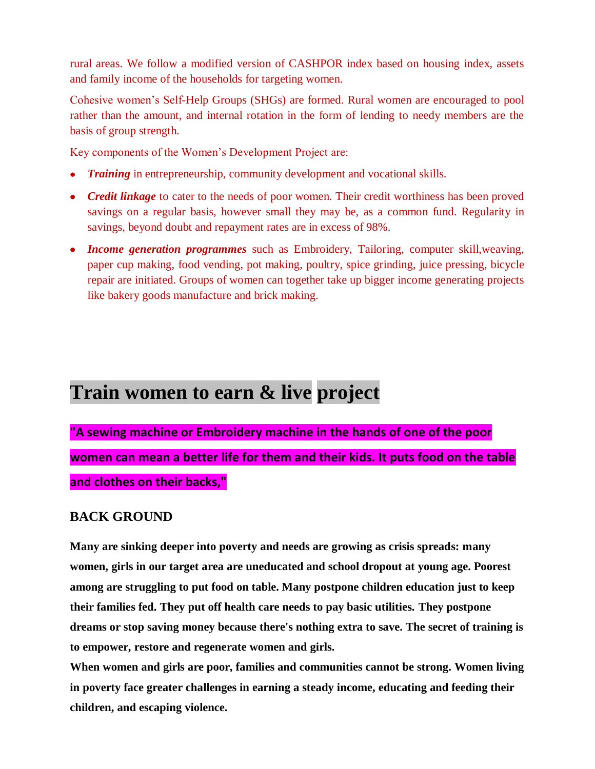rural areas. We follow a modified version of CASHPOR index based on housing index, assets and family income of the households for targeting women.

Cohesive women's Self-Help Groups (SHGs) are formed. Rural women are encouraged to pool rather than the amount, and internal rotation in the form of lending to needy members are the basis of group strength.

Key components of the Women's Development Project are:

- *Training* in entrepreneurship, community development and vocational skills.
- *Credit linkage* to cater to the needs of poor women. Their credit worthiness has been proved savings on a regular basis, however small they may be, as a common fund. Regularity in savings, beyond doubt and repayment rates are in excess of 98%.
- *Income generation programmes* such as Embroidery, Tailoring, computer skill,weaving, paper cup making, food vending, pot making, poultry, spice grinding, juice pressing, bicycle repair are initiated. Groups of women can together take up bigger income generating projects like bakery goods manufacture and brick making.

# **Train women to earn & live project**

**"A sewing machine or Embroidery machine in the hands of one of the poor women can mean a better life for them and their kids. It puts food on the table and clothes on their backs,"**

### **BACK GROUND**

**Many are sinking deeper into poverty and needs are growing as crisis spreads: many women, girls in our target area are uneducated and school dropout at young age. Poorest among are struggling to put food on table. Many postpone children education just to keep their families fed. They put off health care needs to pay basic utilities. They postpone dreams or stop saving money because there's nothing extra to save. The secret of training is to empower, restore and regenerate women and girls.** 

**When women and girls are poor, families and communities cannot be strong. Women living in poverty face greater challenges in earning a steady income, educating and feeding their children, and escaping violence.**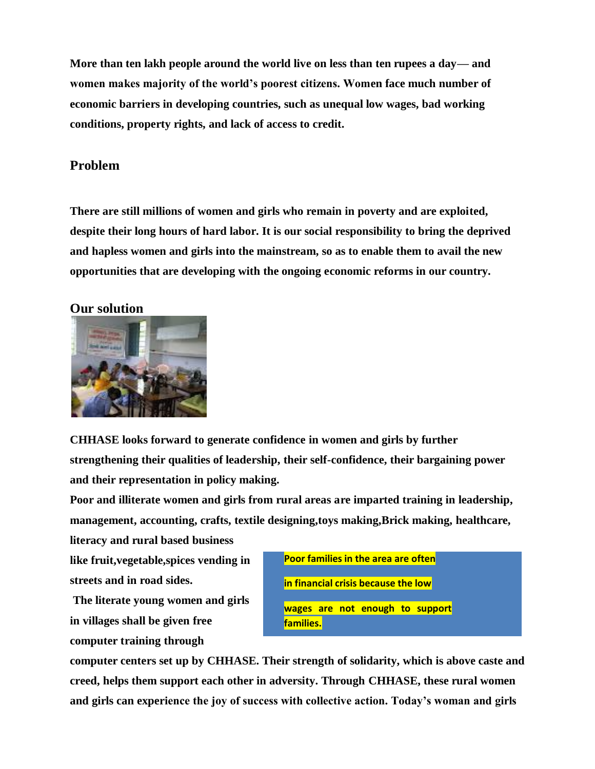**More than ten lakh people around the world live on less than ten rupees a day— and women makes majority of the world's poorest citizens. Women face much number of economic barriers in developing countries, such as unequal low wages, bad working conditions, property rights, and lack of access to credit.**

#### **Problem**

**There are still millions of women and girls who remain in poverty and are exploited, despite their long hours of hard labor. It is our social responsibility to bring the deprived and hapless women and girls into the mainstream, so as to enable them to avail the new opportunities that are developing with the ongoing economic reforms in our country.**

#### **Our solution**



**CHHASE looks forward to generate confidence in women and girls by further strengthening their qualities of leadership, their self-confidence, their bargaining power and their representation in policy making.** 

**Poor and illiterate women and girls from rural areas are imparted training in leadership, management, accounting, crafts, textile designing,toys making,Brick making, healthcare,**

**like fruit,vegetable,spices vending in streets and in road sides.**

**literacy and rural based business** 

**The literate young women and girls in villages shall be given free computer training through** 



**computer centers set up by CHHASE. Their strength of solidarity, which is above caste and creed, helps them support each other in adversity. Through CHHASE, these rural women and girls can experience the joy of success with collective action. Today's woman and girls**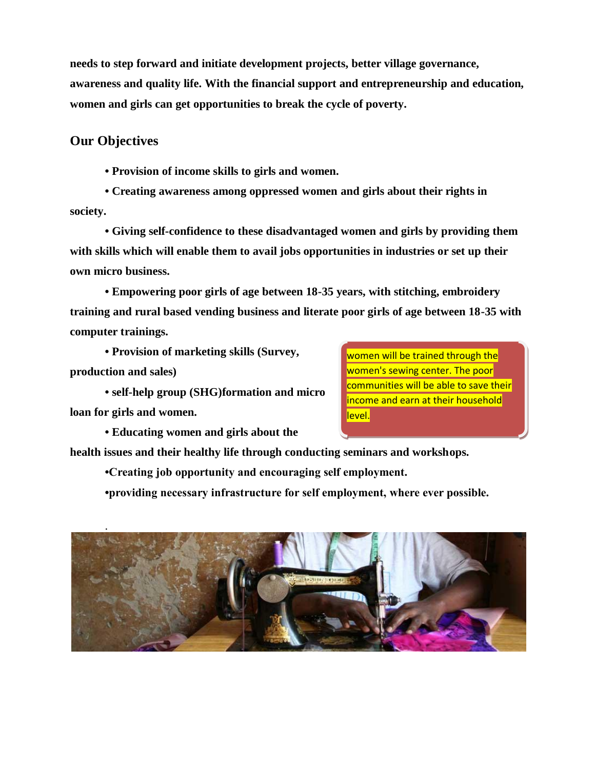**needs to step forward and initiate development projects, better village governance, awareness and quality life. With the financial support and entrepreneurship and education, women and girls can get opportunities to break the cycle of poverty.** 

#### **Our Objectives**

**• Provision of income skills to girls and women.** 

**• Creating awareness among oppressed women and girls about their rights in society.** 

**• Giving self-confidence to these disadvantaged women and girls by providing them with skills which will enable them to avail jobs opportunities in industries or set up their own micro business.** 

**• Empowering poor girls of age between 18-35 years, with stitching, embroidery training and rural based vending business and literate poor girls of age between 18-35 with computer trainings.** 

**• Provision of marketing skills (Survey, production and sales)** 

**• self-help group (SHG)formation and micro loan for girls and women.** 

**• Educating women and girls about the** 

**health issues and their healthy life through conducting seminars and workshops.** 

**•Creating job opportunity and encouraging self employment.**

**•providing necessary infrastructure for self employment, where ever possible.**



women will be trained through the women's sewing center. The poor communities will be able to save their income and earn at their household level.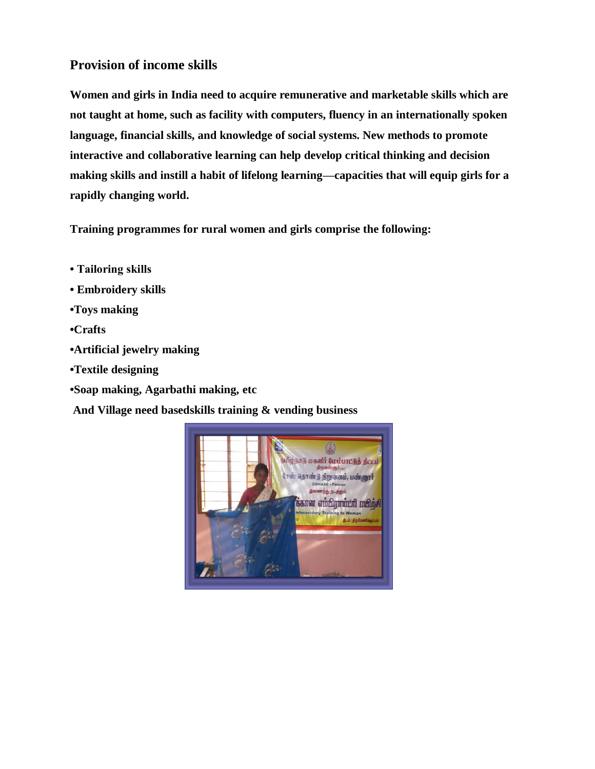#### **Provision of income skills**

**Women and girls in India need to acquire remunerative and marketable skills which are not taught at home, such as facility with computers, fluency in an internationally spoken language, financial skills, and knowledge of social systems. New methods to promote interactive and collaborative learning can help develop critical thinking and decision making skills and instill a habit of lifelong learning—capacities that will equip girls for a rapidly changing world.** 

**Training programmes for rural women and girls comprise the following:** 

- **Tailoring skills**
- **Embroidery skills**
- **•Toys making**
- **•Crafts**
- **•Artificial jewelry making**
- **•Textile designing**
- **•Soap making, Agarbathi making, etc**

**And Village need basedskills training & vending business**

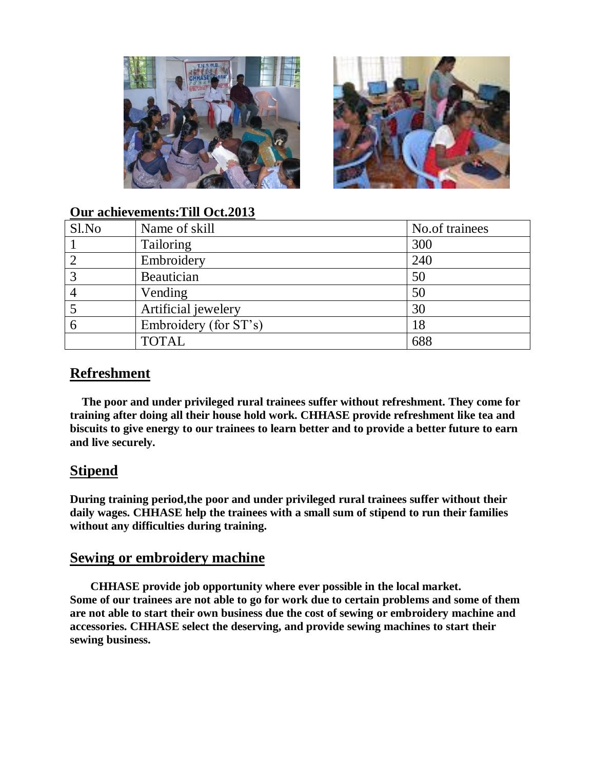



#### **Our achievements:Till Oct.2013**

| Sl.No          | Name of skill         | No.of trainees |
|----------------|-----------------------|----------------|
|                | Tailoring             | 300            |
| $\overline{2}$ | Embroidery            | 240            |
|                | Beautician            | 50             |
| $\overline{4}$ | Vending               | 50             |
|                | Artificial jewelery   | 30             |
| 6              | Embroidery (for ST's) | 18             |
|                | <b>TOTAL</b>          | 688            |

## **Refreshment**

**The poor and under privileged rural trainees suffer without refreshment. They come for training after doing all their house hold work. CHHASE provide refreshment like tea and biscuits to give energy to our trainees to learn better and to provide a better future to earn and live securely.**

### **Stipend**

**During training period,the poor and under privileged rural trainees suffer without their daily wages. CHHASE help the trainees with a small sum of stipend to run their families without any difficulties during training.**

#### **Sewing or embroidery machine**

 **CHHASE provide job opportunity where ever possible in the local market. Some of our trainees are not able to go for work due to certain problems and some of them are not able to start their own business due the cost of sewing or embroidery machine and accessories. CHHASE select the deserving, and provide sewing machines to start their sewing business.**